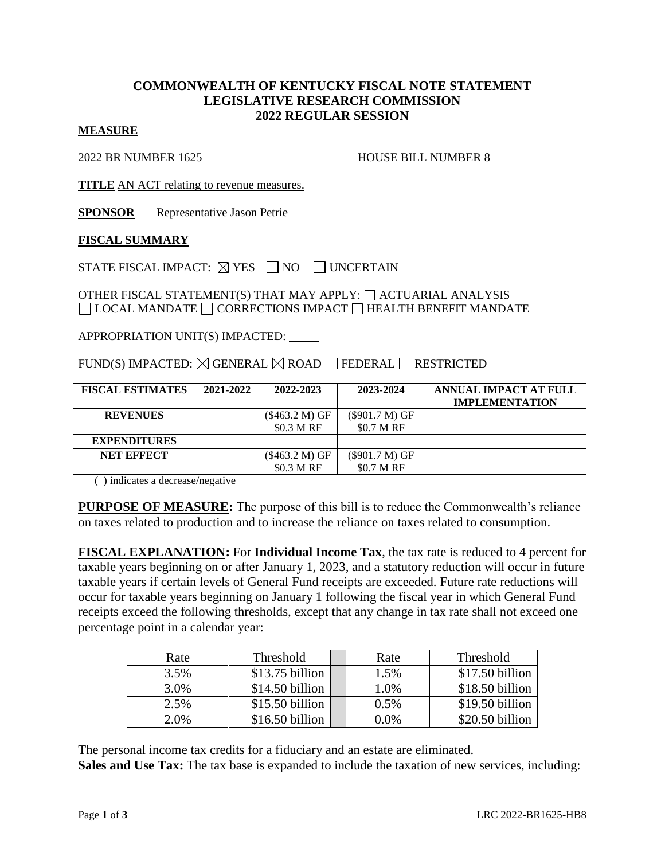## **COMMONWEALTH OF KENTUCKY FISCAL NOTE STATEMENT LEGISLATIVE RESEARCH COMMISSION 2022 REGULAR SESSION**

#### **MEASURE**

2022 BR NUMBER 1625 HOUSE BILL NUMBER 8

**TITLE** AN ACT relating to revenue measures.

**SPONSOR** Representative Jason Petrie

### **FISCAL SUMMARY**

STATE FISCAL IMPACT:  $\boxtimes$  YES  $\Box$  NO  $\Box$  UNCERTAIN

OTHER FISCAL STATEMENT(S) THAT MAY APPLY:  $\Box$  ACTUARIAL ANALYSIS  $\Box$  LOCAL MANDATE  $\Box$  CORRECTIONS IMPACT  $\Box$  HEALTH BENEFIT MANDATE

APPROPRIATION UNIT(S) IMPACTED:

FUND(S) IMPACTED:  $\boxtimes$  GENERAL  $\boxtimes$  ROAD  $\Box$  FEDERAL  $\Box$  RESTRICTED  $\Box$ 

| <b>FISCAL ESTIMATES</b> | 2021-2022 | 2022-2023      | 2023-2024                   | ANNUAL IMPACT AT FULL |
|-------------------------|-----------|----------------|-----------------------------|-----------------------|
|                         |           |                |                             | <b>IMPLEMENTATION</b> |
| <b>REVENUES</b>         |           | (\$463.2 M) GF | (\$901.7 M) GF              |                       |
|                         |           | \$0.3 M RF     | $$0.7 \text{ M} \text{ RF}$ |                       |
| <b>EXPENDITURES</b>     |           |                |                             |                       |
| <b>NET EFFECT</b>       |           | (\$463.2 M) GF | (\$901.7 M) GF              |                       |
|                         |           | \$0.3 M RF     | \$0.7 M RF                  |                       |

( ) indicates a decrease/negative

**PURPOSE OF MEASURE:** The purpose of this bill is to reduce the Commonwealth's reliance on taxes related to production and to increase the reliance on taxes related to consumption.

**FISCAL EXPLANATION:** For **Individual Income Tax**, the tax rate is reduced to 4 percent for taxable years beginning on or after January 1, 2023, and a statutory reduction will occur in future taxable years if certain levels of General Fund receipts are exceeded. Future rate reductions will occur for taxable years beginning on January 1 following the fiscal year in which General Fund receipts exceed the following thresholds, except that any change in tax rate shall not exceed one percentage point in a calendar year:

| Rate | Threshold        | Rate | Threshold       |
|------|------------------|------|-----------------|
| 3.5% | $$13.75$ billion | 1.5% | \$17.50 billion |
| 3.0% | \$14.50 billion  | 1.0% | \$18.50 billion |
| 2.5% | \$15.50 billion  | 0.5% | \$19.50 billion |
| 2.0% | \$16.50 billion  | 0.0% | \$20.50 billion |

The personal income tax credits for a fiduciary and an estate are eliminated. **Sales and Use Tax:** The tax base is expanded to include the taxation of new services, including: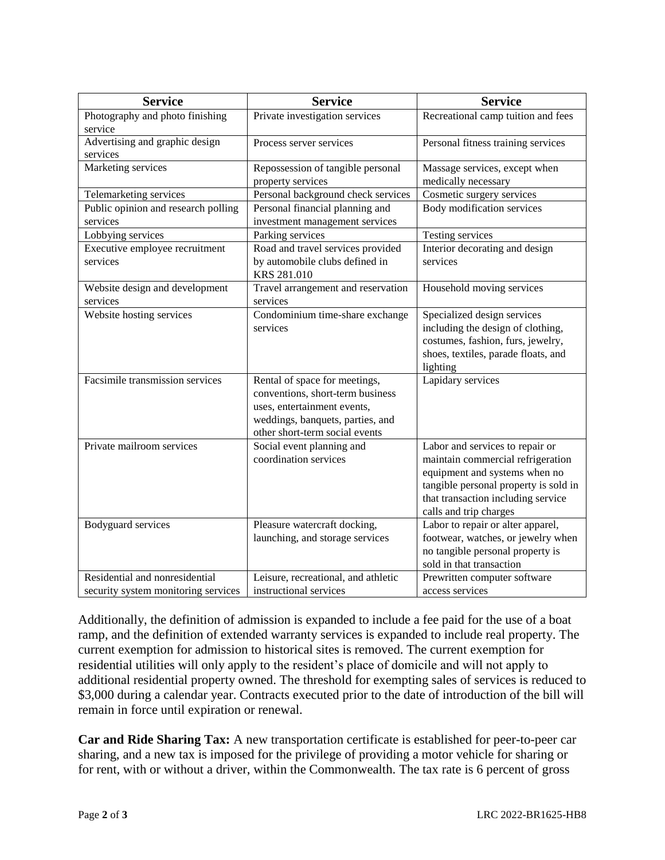| <b>Service</b>                             | <b>Service</b>                      | <b>Service</b>                                               |  |
|--------------------------------------------|-------------------------------------|--------------------------------------------------------------|--|
| Photography and photo finishing            | Private investigation services      | Recreational camp tuition and fees                           |  |
| service                                    |                                     |                                                              |  |
| Advertising and graphic design<br>services | Process server services             | Personal fitness training services                           |  |
| Marketing services                         | Repossession of tangible personal   | Massage services, except when                                |  |
|                                            | property services                   | medically necessary                                          |  |
| Telemarketing services                     | Personal background check services  | Cosmetic surgery services                                    |  |
| Public opinion and research polling        | Personal financial planning and     | Body modification services                                   |  |
| services                                   | investment management services      |                                                              |  |
| Lobbying services                          | Parking services                    | Testing services                                             |  |
| Executive employee recruitment             | Road and travel services provided   | Interior decorating and design                               |  |
| services                                   | by automobile clubs defined in      | services                                                     |  |
|                                            | KRS 281.010                         |                                                              |  |
| Website design and development             | Travel arrangement and reservation  | Household moving services                                    |  |
| services                                   | services                            |                                                              |  |
| Website hosting services                   | Condominium time-share exchange     | Specialized design services                                  |  |
|                                            | services                            | including the design of clothing,                            |  |
|                                            |                                     | costumes, fashion, furs, jewelry,                            |  |
|                                            |                                     | shoes, textiles, parade floats, and                          |  |
|                                            |                                     | lighting                                                     |  |
| Facsimile transmission services            | Rental of space for meetings,       | Lapidary services                                            |  |
|                                            | conventions, short-term business    |                                                              |  |
|                                            | uses, entertainment events,         |                                                              |  |
|                                            | weddings, banquets, parties, and    |                                                              |  |
|                                            | other short-term social events      |                                                              |  |
| Private mailroom services                  | Social event planning and           | Labor and services to repair or                              |  |
|                                            | coordination services               | maintain commercial refrigeration                            |  |
|                                            |                                     | equipment and systems when no                                |  |
|                                            |                                     | tangible personal property is sold in                        |  |
|                                            |                                     | that transaction including service                           |  |
|                                            |                                     | calls and trip charges                                       |  |
| Bodyguard services                         | Pleasure watercraft docking,        | Labor to repair or alter apparel,                            |  |
|                                            | launching, and storage services     | footwear, watches, or jewelry when                           |  |
|                                            |                                     | no tangible personal property is<br>sold in that transaction |  |
| Residential and nonresidential             | Leisure, recreational, and athletic | Prewritten computer software                                 |  |
| security system monitoring services        | instructional services              | access services                                              |  |

Additionally, the definition of admission is expanded to include a fee paid for the use of a boat ramp, and the definition of extended warranty services is expanded to include real property. The current exemption for admission to historical sites is removed. The current exemption for residential utilities will only apply to the resident's place of domicile and will not apply to additional residential property owned. The threshold for exempting sales of services is reduced to \$3,000 during a calendar year. Contracts executed prior to the date of introduction of the bill will remain in force until expiration or renewal.

**Car and Ride Sharing Tax:** A new transportation certificate is established for peer-to-peer car sharing, and a new tax is imposed for the privilege of providing a motor vehicle for sharing or for rent, with or without a driver, within the Commonwealth. The tax rate is 6 percent of gross